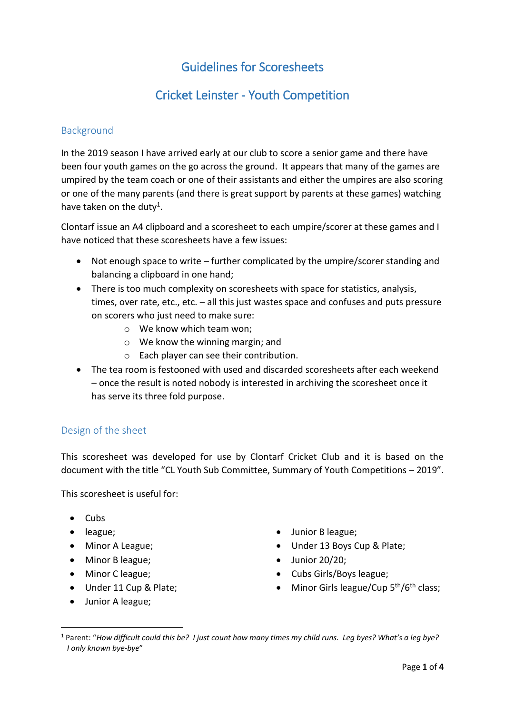# Guidelines for Scoresheets

# Cricket Leinster - Youth Competition

## Background

In the 2019 season I have arrived early at our club to score a senior game and there have been four youth games on the go across the ground. It appears that many of the games are umpired by the team coach or one of their assistants and either the umpires are also scoring or one of the many parents (and there is great support by parents at these games) watching have taken on the duty<sup>1</sup>.

Clontarf issue an A4 clipboard and a scoresheet to each umpire/scorer at these games and I have noticed that these scoresheets have a few issues:

- Not enough space to write further complicated by the umpire/scorer standing and balancing a clipboard in one hand;
- There is too much complexity on scoresheets with space for statistics, analysis, times, over rate, etc., etc. – all this just wastes space and confuses and puts pressure on scorers who just need to make sure:
	- o We know which team won;
	- o We know the winning margin; and
	- o Each player can see their contribution.
- The tea room is festooned with used and discarded scoresheets after each weekend – once the result is noted nobody is interested in archiving the scoresheet once it has serve its three fold purpose.

# Design of the sheet

This scoresheet was developed for use by Clontarf Cricket Club and it is based on the document with the title "CL Youth Sub Committee, Summary of Youth Competitions – 2019".

This scoresheet is useful for:

 $\bullet$  Cubs

1

- league;
- Minor A League;
- Minor B league;
- Minor C league;
- Under 11 Cup & Plate;
- Junior A league;
- Junior B league;
- Under 13 Boys Cup & Plate;
- $\bullet$  Junior 20/20;
- Cubs Girls/Boys league;
- $\bullet$  Minor Girls league/Cup  $5^{th}/6^{th}$  class;

<sup>1</sup> Parent: "*How difficult could this be? I just count how many times my child runs. Leg byes? What's a leg bye? I only known bye-bye*"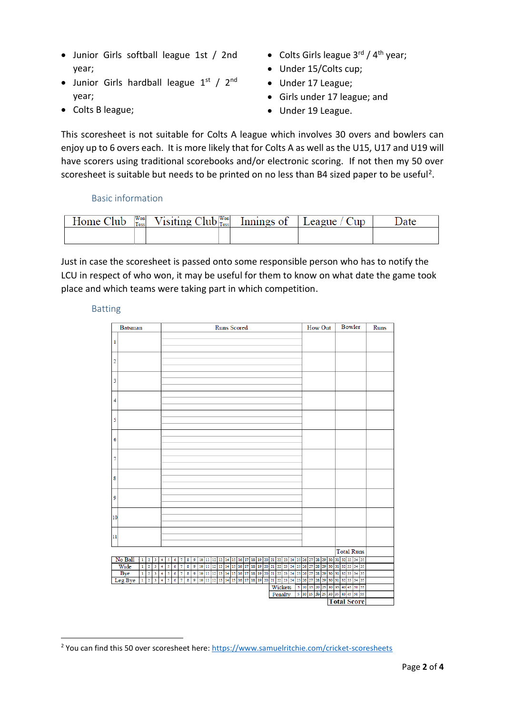- Junior Girls softball league 1st / 2nd year;
- Junior Girls hardball league  $1<sup>st</sup> / 2<sup>nd</sup>$ year;
- Colts B league;
- Colts Girls league  $3^{\text{rd}}$  /  $4^{\text{th}}$  year;
- Under 15/Colts cup;
- Under 17 League;
- Girls under 17 league; and
- Under 19 League.

This scoresheet is not suitable for Colts A league which involves 30 overs and bowlers can enjoy up to 6 overs each. It is more likely that for Colts A as well as the U15, U17 and U19 will have scorers using traditional scorebooks and/or electronic scoring. If not then my 50 over scoresheet is suitable but needs to be printed on no less than B4 sized paper to be useful<sup>2</sup>.

### Basic information

| Home (<br>Tub | Won<br>Toss | Won<br>$\gamma$ isiting Club $ _{\rm Toss}^{\rm won} $ | uings of | eague |  |
|---------------|-------------|--------------------------------------------------------|----------|-------|--|
|               |             |                                                        |          |       |  |

Just in case the scoresheet is passed onto some responsible person who has to notify the LCU in respect of who won, it may be useful for them to know on what date the game took place and which teams were taking part in which competition.

#### Batting

**.** 

| <b>Batsman</b>                                                          |   |                     |        |               |                                     |        |   |    |    |                      |  |  | <b>Runs Scored</b> |                               |  |    |                                                               |    |    |       |    |    | How Out             |    |       | <b>Bowler</b> |                                                                                                                                     |  | Runs |  |
|-------------------------------------------------------------------------|---|---------------------|--------|---------------|-------------------------------------|--------|---|----|----|----------------------|--|--|--------------------|-------------------------------|--|----|---------------------------------------------------------------|----|----|-------|----|----|---------------------|----|-------|---------------|-------------------------------------------------------------------------------------------------------------------------------------|--|------|--|
| 1                                                                       |   |                     |        |               |                                     |        |   |    |    |                      |  |  |                    |                               |  |    |                                                               |    |    |       |    |    |                     |    |       |               |                                                                                                                                     |  |      |  |
|                                                                         |   |                     |        |               |                                     |        |   |    |    |                      |  |  |                    |                               |  |    |                                                               |    |    |       |    |    |                     |    |       |               |                                                                                                                                     |  |      |  |
| 2                                                                       |   |                     |        |               |                                     |        |   |    |    |                      |  |  |                    |                               |  |    |                                                               |    |    |       |    |    |                     |    |       |               |                                                                                                                                     |  |      |  |
|                                                                         |   |                     |        |               |                                     |        |   |    |    |                      |  |  |                    |                               |  |    |                                                               |    |    |       |    |    |                     |    |       |               |                                                                                                                                     |  |      |  |
| 3                                                                       |   |                     |        |               |                                     |        |   |    |    |                      |  |  |                    |                               |  |    |                                                               |    |    |       |    |    |                     |    |       |               |                                                                                                                                     |  |      |  |
|                                                                         |   |                     |        |               |                                     |        |   |    |    |                      |  |  |                    |                               |  |    |                                                               |    |    |       |    |    |                     |    |       |               |                                                                                                                                     |  |      |  |
| 4                                                                       |   |                     |        |               |                                     |        |   |    |    |                      |  |  |                    |                               |  |    |                                                               |    |    |       |    |    |                     |    |       |               |                                                                                                                                     |  |      |  |
|                                                                         |   |                     |        |               |                                     |        |   |    |    |                      |  |  |                    |                               |  |    |                                                               |    |    |       |    |    |                     |    |       |               |                                                                                                                                     |  |      |  |
| 5                                                                       |   |                     |        |               |                                     |        |   |    |    |                      |  |  |                    |                               |  |    |                                                               |    |    |       |    |    |                     |    |       |               |                                                                                                                                     |  |      |  |
|                                                                         |   |                     |        |               |                                     |        |   |    |    |                      |  |  |                    |                               |  |    |                                                               |    |    |       |    |    |                     |    |       |               |                                                                                                                                     |  |      |  |
| 6                                                                       |   |                     |        |               |                                     |        |   |    |    |                      |  |  |                    |                               |  |    |                                                               |    |    |       |    |    |                     |    |       |               |                                                                                                                                     |  |      |  |
|                                                                         |   |                     |        |               |                                     |        |   |    |    |                      |  |  |                    |                               |  |    |                                                               |    |    |       |    |    |                     |    |       |               |                                                                                                                                     |  |      |  |
| 7                                                                       |   |                     |        |               |                                     |        |   |    |    |                      |  |  |                    |                               |  |    |                                                               |    |    |       |    |    |                     |    |       |               |                                                                                                                                     |  |      |  |
|                                                                         |   |                     |        |               |                                     |        |   |    |    |                      |  |  |                    |                               |  |    |                                                               |    |    |       |    |    |                     |    |       |               |                                                                                                                                     |  |      |  |
| 8                                                                       |   |                     |        |               |                                     |        |   |    |    |                      |  |  |                    |                               |  |    |                                                               |    |    |       |    |    |                     |    |       |               |                                                                                                                                     |  |      |  |
|                                                                         |   |                     |        |               |                                     |        |   |    |    |                      |  |  |                    |                               |  |    |                                                               |    |    |       |    |    |                     |    |       |               |                                                                                                                                     |  |      |  |
| 9                                                                       |   |                     |        |               |                                     |        |   |    |    |                      |  |  |                    |                               |  |    |                                                               |    |    |       |    |    |                     |    |       |               |                                                                                                                                     |  |      |  |
|                                                                         |   |                     |        |               |                                     |        |   |    |    |                      |  |  |                    |                               |  |    |                                                               |    |    |       |    |    |                     |    |       |               |                                                                                                                                     |  |      |  |
| 10                                                                      |   |                     |        |               |                                     |        |   |    |    |                      |  |  |                    |                               |  |    |                                                               |    |    |       |    |    |                     |    |       |               |                                                                                                                                     |  |      |  |
| 11                                                                      |   |                     |        |               |                                     |        |   |    |    |                      |  |  |                    |                               |  |    |                                                               |    |    |       |    |    |                     |    |       |               |                                                                                                                                     |  |      |  |
|                                                                         |   |                     |        |               |                                     |        |   |    |    |                      |  |  |                    |                               |  |    |                                                               |    |    |       |    |    |                     |    |       |               |                                                                                                                                     |  |      |  |
|                                                                         |   |                     |        |               |                                     |        |   |    |    |                      |  |  |                    |                               |  |    |                                                               |    |    |       |    |    |                     |    |       |               | <b>Total Runs</b>                                                                                                                   |  |      |  |
| No Ball<br>$\mathbf{1}$<br>$\overline{\mathbf{2}}$                      | 3 | 4                   | 5      | 6             | $\overline{7}$                      | 8      | 9 | 10 | 11 |                      |  |  |                    | 12 13 14 15 16 17 18 19 20 21 |  | 22 | 23                                                            | 24 |    |       |    |    |                     |    |       |               | 25 26 27 28 29 30 31 32 33 34 35                                                                                                    |  |      |  |
| Wide<br>$\overline{2}$<br>$\mathbf{1}$                                  | 3 | 4                   | 5      | $\delta$      | $\overline{\tau}$                   | 8      |   |    |    |                      |  |  |                    |                               |  |    |                                                               |    |    |       |    |    |                     |    |       |               | 9   10   11   12   13   14   15   16   17   18   19   20   21   22   23   24   25   26   27   28   29   30   31   32   33   34   35 |  |      |  |
| Bye<br>$\overline{2}$<br>$\mathbf{1}$<br>Leg Bye<br>$1 \quad 2 \quad 3$ | 3 | 4<br>4 <sup>1</sup> | 5<br>5 | 6<br>$\delta$ | $\overline{7}$<br>$\overline{\tau}$ | 8<br>8 | 9 | 10 |    | 11 12 13 14 15 16 17 |  |  |                    | 18 19 20 21                   |  | 22 | 23<br>9 10 11 12 13 14 15 16 17 18 19 20 21 22 23 24 25 26 27 | 24 | 25 | 26 27 | 28 | 29 | 30 31               |    | 32 33 |               | 34 35<br>28 29 30 31 32 33 34 35                                                                                                    |  |      |  |
|                                                                         |   |                     |        |               |                                     |        |   |    |    |                      |  |  |                    |                               |  |    | Wickets                                                       |    |    |       |    |    |                     |    |       |               | 5 10 15 20 25 30 35 40 45 50 55                                                                                                     |  |      |  |
|                                                                         |   |                     |        |               |                                     |        |   |    |    |                      |  |  |                    |                               |  |    | Penalty                                                       |    |    |       |    |    | 5 10 15 29 25 30 35 | 40 |       |               | 45 50 55                                                                                                                            |  |      |  |
|                                                                         |   |                     |        |               |                                     |        |   |    |    |                      |  |  |                    |                               |  |    |                                                               |    |    |       |    |    |                     |    |       |               | <b>Total Score</b>                                                                                                                  |  |      |  |
|                                                                         |   |                     |        |               |                                     |        |   |    |    |                      |  |  |                    |                               |  |    |                                                               |    |    |       |    |    |                     |    |       |               |                                                                                                                                     |  |      |  |

<sup>2</sup> You can find this 50 over scoresheet here:<https://www.samuelritchie.com/cricket-scoresheets>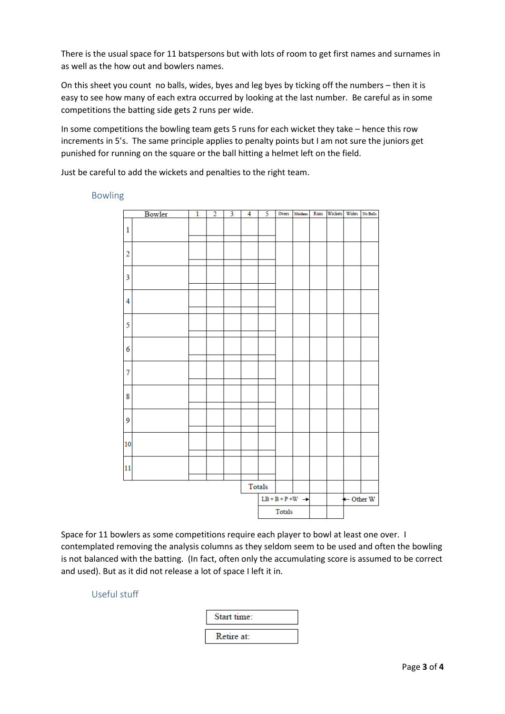There is the usual space for 11 batspersons but with lots of room to get first names and surnames in as well as the how out and bowlers names.

On this sheet you count no balls, wides, byes and leg byes by ticking off the numbers – then it is easy to see how many of each extra occurred by looking at the last number. Be careful as in some competitions the batting side gets 2 runs per wide.

In some competitions the bowling team gets 5 runs for each wicket they take – hence this row increments in 5's. The same principle applies to penalty points but I am not sure the juniors get punished for running on the square or the ball hitting a helmet left on the field.

Just be careful to add the wickets and penalties to the right team.

Bowler  $3 \overline{4}$ 5 Overs Maidens Runs Wickets Wides No Balls  $\overline{1}$  $\overline{2}$  $\mathbf{1}$  $\overline{2}$  $\overline{3}$  $\overline{4}$ 5 6  $\overline{7}$ 8 9 10 11 Totals  $LB + B + P + W \rightarrow$ - Other W Totals

Bowling

Space for 11 bowlers as some competitions require each player to bowl at least one over. I contemplated removing the analysis columns as they seldom seem to be used and often the bowling is not balanced with the batting. (In fact, often only the accumulating score is assumed to be correct and used). But as it did not release a lot of space I left it in.

Useful stuff

| tart time: |
|------------|
| Retire at: |